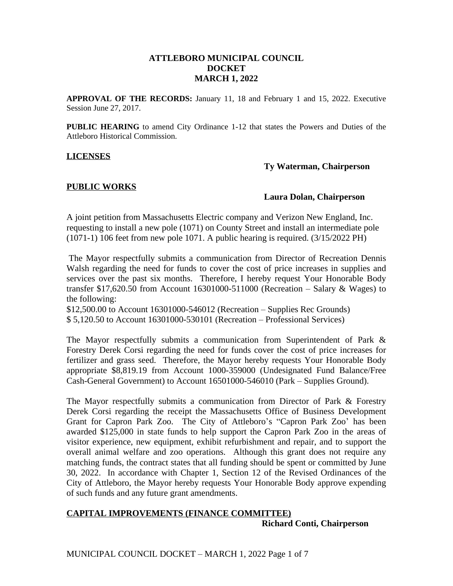## **ATTLEBORO MUNICIPAL COUNCIL DOCKET MARCH 1, 2022**

**APPROVAL OF THE RECORDS:** January 11, 18 and February 1 and 15, 2022. Executive Session June 27, 2017.

**PUBLIC HEARING** to amend City Ordinance 1-12 that states the Powers and Duties of the Attleboro Historical Commission.

#### **LICENSES**

#### **Ty Waterman, Chairperson**

## **PUBLIC WORKS**

#### **Laura Dolan, Chairperson**

A joint petition from Massachusetts Electric company and Verizon New England, Inc. requesting to install a new pole (1071) on County Street and install an intermediate pole (1071-1) 106 feet from new pole 1071. A public hearing is required. (3/15/2022 PH)

The Mayor respectfully submits a communication from Director of Recreation Dennis Walsh regarding the need for funds to cover the cost of price increases in supplies and services over the past six months. Therefore, I hereby request Your Honorable Body transfer \$17,620.50 from Account 16301000-511000 (Recreation – Salary  $&Wages$ ) to the following:

\$12,500.00 to Account 16301000-546012 (Recreation – Supplies Rec Grounds) \$ 5,120.50 to Account 16301000-530101 (Recreation – Professional Services)

The Mayor respectfully submits a communication from Superintendent of Park & Forestry Derek Corsi regarding the need for funds cover the cost of price increases for fertilizer and grass seed. Therefore, the Mayor hereby requests Your Honorable Body appropriate \$8,819.19 from Account 1000-359000 (Undesignated Fund Balance/Free Cash-General Government) to Account 16501000-546010 (Park – Supplies Ground).

The Mayor respectfully submits a communication from Director of Park & Forestry Derek Corsi regarding the receipt the Massachusetts Office of Business Development Grant for Capron Park Zoo. The City of Attleboro's "Capron Park Zoo' has been awarded \$125,000 in state funds to help support the Capron Park Zoo in the areas of visitor experience, new equipment, exhibit refurbishment and repair, and to support the overall animal welfare and zoo operations. Although this grant does not require any matching funds, the contract states that all funding should be spent or committed by June 30, 2022. In accordance with Chapter 1, Section 12 of the Revised Ordinances of the City of Attleboro, the Mayor hereby requests Your Honorable Body approve expending of such funds and any future grant amendments.

# **CAPITAL IMPROVEMENTS (FINANCE COMMITTEE) Richard Conti, Chairperson**

MUNICIPAL COUNCIL DOCKET – MARCH 1, 2022 Page 1 of 7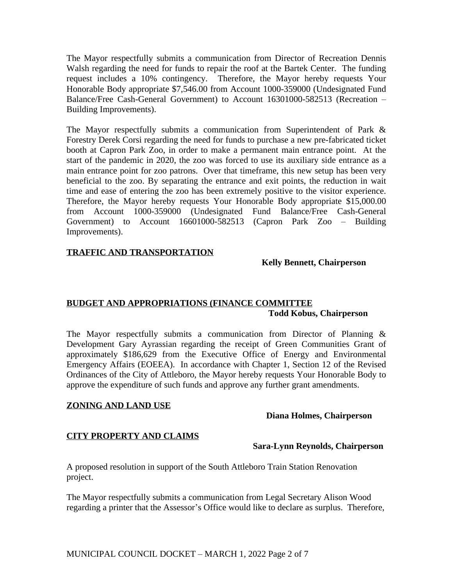The Mayor respectfully submits a communication from Director of Recreation Dennis Walsh regarding the need for funds to repair the roof at the Bartek Center. The funding request includes a 10% contingency. Therefore, the Mayor hereby requests Your Honorable Body appropriate \$7,546.00 from Account 1000-359000 (Undesignated Fund Balance/Free Cash-General Government) to Account 16301000-582513 (Recreation – Building Improvements).

The Mayor respectfully submits a communication from Superintendent of Park & Forestry Derek Corsi regarding the need for funds to purchase a new pre-fabricated ticket booth at Capron Park Zoo, in order to make a permanent main entrance point. At the start of the pandemic in 2020, the zoo was forced to use its auxiliary side entrance as a main entrance point for zoo patrons. Over that timeframe, this new setup has been very beneficial to the zoo. By separating the entrance and exit points, the reduction in wait time and ease of entering the zoo has been extremely positive to the visitor experience. Therefore, the Mayor hereby requests Your Honorable Body appropriate \$15,000.00 from Account 1000-359000 (Undesignated Fund Balance/Free Cash-General Government) to Account 16601000-582513 (Capron Park Zoo – Building Improvements).

# **TRAFFIC AND TRANSPORTATION**

#### **Kelly Bennett, Chairperson**

# **BUDGET AND APPROPRIATIONS (FINANCE COMMITTEE Todd Kobus, Chairperson**

The Mayor respectfully submits a communication from Director of Planning & Development Gary Ayrassian regarding the receipt of Green Communities Grant of approximately \$186,629 from the Executive Office of Energy and Environmental Emergency Affairs (EOEEA). In accordance with Chapter 1, Section 12 of the Revised Ordinances of the City of Attleboro, the Mayor hereby requests Your Honorable Body to approve the expenditure of such funds and approve any further grant amendments.

## **ZONING AND LAND USE**

## **Diana Holmes, Chairperson**

# **CITY PROPERTY AND CLAIMS**

# **Sara-Lynn Reynolds, Chairperson**

A proposed resolution in support of the South Attleboro Train Station Renovation project.

The Mayor respectfully submits a communication from Legal Secretary Alison Wood regarding a printer that the Assessor's Office would like to declare as surplus. Therefore,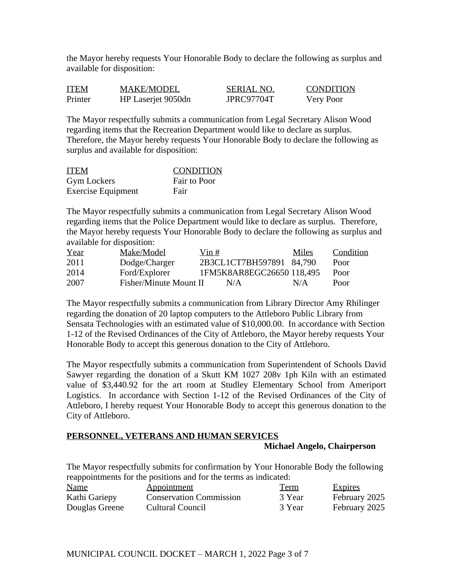the Mayor hereby requests Your Honorable Body to declare the following as surplus and available for disposition:

| <b>ITEM</b> | <b>MAKE/MODEL</b>  | <b>SERIAL NO.</b> | <b>CONDITION</b> |
|-------------|--------------------|-------------------|------------------|
| Printer     | HP Laserjet 9050dn | JPRC97704T        | Very Poor        |

The Mayor respectfully submits a communication from Legal Secretary Alison Wood regarding items that the Recreation Department would like to declare as surplus. Therefore, the Mayor hereby requests Your Honorable Body to declare the following as surplus and available for disposition:

| <b>ITEM</b>               | <b>CONDITION</b> |
|---------------------------|------------------|
| <b>Gym Lockers</b>        | Fair to Poor     |
| <b>Exercise Equipment</b> | Fair             |

The Mayor respectfully submits a communication from Legal Secretary Alison Wood regarding items that the Police Department would like to declare as surplus. Therefore, the Mayor hereby requests Your Honorable Body to declare the following as surplus and available for disposition:

| Year | Make/Model             | Vin # |                           | Miles | Condition |
|------|------------------------|-------|---------------------------|-------|-----------|
| 2011 | Dodge/Charger          |       | 2B3CL1CT7BH597891 84,790  |       | Poor      |
| 2014 | Ford/Explorer          |       | 1FM5K8AR8EGC26650 118,495 |       | Poor      |
| 2007 | Fisher/Minute Mount II |       | N/A                       | N/A   | Poor      |

The Mayor respectfully submits a communication from Library Director Amy Rhilinger regarding the donation of 20 laptop computers to the Attleboro Public Library from Sensata Technologies with an estimated value of \$10,000.00. In accordance with Section 1-12 of the Revised Ordinances of the City of Attleboro, the Mayor hereby requests Your Honorable Body to accept this generous donation to the City of Attleboro.

The Mayor respectfully submits a communication from Superintendent of Schools David Sawyer regarding the donation of a Skutt KM 1027 208v 1ph Kiln with an estimated value of \$3,440.92 for the art room at Studley Elementary School from Ameriport Logistics. In accordance with Section 1-12 of the Revised Ordinances of the City of Attleboro, I hereby request Your Honorable Body to accept this generous donation to the City of Attleboro.

# **PERSONNEL, VETERANS AND HUMAN SERVICES**

## **Michael Angelo, Chairperson**

The Mayor respectfully submits for confirmation by Your Honorable Body the following reappointments for the positions and for the terms as indicated:

| <b>Name</b>    | Appointment                    | <b>Term</b> | <b>Expires</b> |
|----------------|--------------------------------|-------------|----------------|
| Kathi Gariepy  | <b>Conservation Commission</b> | 3 Year      | February 2025  |
| Douglas Greene | Cultural Council               | 3 Year      | February 2025  |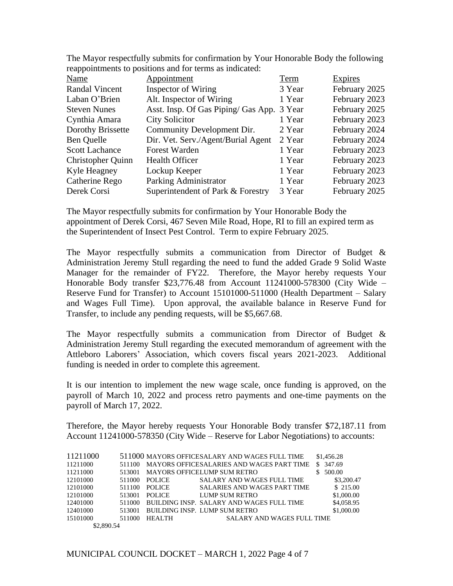| Name                     | Appointment                                | Term   | <b>Expires</b> |
|--------------------------|--------------------------------------------|--------|----------------|
| <b>Randal Vincent</b>    | Inspector of Wiring                        | 3 Year | February 2025  |
| Laban O'Brien            | Alt. Inspector of Wiring                   | 1 Year | February 2023  |
| <b>Steven Nunes</b>      | Asst. Insp. Of Gas Piping/ Gas App. 3 Year |        | February 2025  |
| Cynthia Amara            | <b>City Solicitor</b>                      | 1 Year | February 2023  |
| Dorothy Brissette        | Community Development Dir.                 | 2 Year | February 2024  |
| Ben Quelle               | Dir. Vet. Serv./Agent/Burial Agent         | 2 Year | February 2024  |
| <b>Scott Lachance</b>    | <b>Forest Warden</b>                       | 1 Year | February 2023  |
| <b>Christopher Quinn</b> | <b>Health Officer</b>                      | 1 Year | February 2023  |
| Kyle Heagney             | Lockup Keeper                              | 1 Year | February 2023  |
| Catherine Rego           | Parking Administrator                      | 1 Year | February 2023  |
| Derek Corsi              | Superintendent of Park & Forestry          | 3 Year | February 2025  |
|                          |                                            |        |                |

The Mayor respectfully submits for confirmation by Your Honorable Body the following reappointments to positions and for terms as indicated:

The Mayor respectfully submits for confirmation by Your Honorable Body the appointment of Derek Corsi, 467 Seven Mile Road, Hope, RI to fill an expired term as the Superintendent of Insect Pest Control. Term to expire February 2025.

The Mayor respectfully submits a communication from Director of Budget & Administration Jeremy Stull regarding the need to fund the added Grade 9 Solid Waste Manager for the remainder of FY22. Therefore, the Mayor hereby requests Your Honorable Body transfer \$23,776.48 from Account 11241000-578300 (City Wide – Reserve Fund for Transfer) to Account 15101000-511000 (Health Department – Salary and Wages Full Time). Upon approval, the available balance in Reserve Fund for Transfer, to include any pending requests, will be \$5,667.68.

The Mayor respectfully submits a communication from Director of Budget & Administration Jeremy Stull regarding the executed memorandum of agreement with the Attleboro Laborers' Association, which covers fiscal years 2021-2023. Additional funding is needed in order to complete this agreement.

It is our intention to implement the new wage scale, once funding is approved, on the payroll of March 10, 2022 and process retro payments and one-time payments on the payroll of March 17, 2022.

Therefore, the Mayor hereby requests Your Honorable Body transfer \$72,187.11 from Account 11241000-578350 (City Wide – Reserve for Labor Negotiations) to accounts:

| 11211000   |        |               | 511000 MAYORS OFFICESALARY AND WAGES FULL TIME | \$1,456.28    |
|------------|--------|---------------|------------------------------------------------|---------------|
| 11211000   | 511100 |               | MAYORS OFFICES ALARIES AND WAGES PART TIME     | 347.69<br>S.  |
| 11211000   | 513001 |               | <b>MAYORS OFFICELUMP SUM RETRO</b>             | 500.00<br>\$. |
| 12101000   | 511000 | <b>POLICE</b> | <b>SALARY AND WAGES FULL TIME</b>              | \$3,200.47    |
| 12101000   | 511100 | <b>POLICE</b> | <b>SALARIES AND WAGES PART TIME</b>            | \$ 215.00     |
| 12101000   | 513001 | <b>POLICE</b> | LUMP SUM RETRO                                 | \$1,000.00    |
| 12401000   | 511000 |               | BUILDING INSP. SALARY AND WAGES FULL TIME      | \$4,058.95    |
| 12401000   | 513001 |               | <b>BUILDING INSP. LUMP SUM RETRO</b>           | \$1,000.00    |
| 15101000   | 511000 | <b>HEALTH</b> | <b>SALARY AND WAGES FULL TIME</b>              |               |
| \$2,890.54 |        |               |                                                |               |

MUNICIPAL COUNCIL DOCKET – MARCH 1, 2022 Page 4 of 7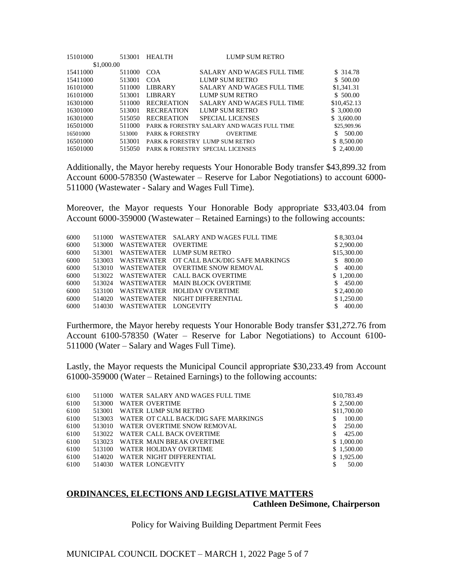| 513001     | <b>HEALTH</b>     | <b>LUMP SUM RETRO</b>             |                                                                                                                                                |
|------------|-------------------|-----------------------------------|------------------------------------------------------------------------------------------------------------------------------------------------|
| \$1,000.00 |                   |                                   |                                                                                                                                                |
| 511000     | COA               | <b>SALARY AND WAGES FULL TIME</b> | \$ 314.78                                                                                                                                      |
| 513001     | COA               | LUMP SUM RETRO                    | \$ 500.00                                                                                                                                      |
| 511000     | <b>LIBRARY</b>    | SALARY AND WAGES FULL TIME        | \$1,341.31                                                                                                                                     |
| 513001     | <b>LIBRARY</b>    | LUMP SUM RETRO                    | \$ 500.00                                                                                                                                      |
| 511000     | <b>RECREATION</b> | SALARY AND WAGES FULL TIME        | \$10,452.13                                                                                                                                    |
| 513001     | <b>RECREATION</b> | LUMP SUM RETRO                    | \$3,000.00                                                                                                                                     |
| 515050     | <b>RECREATION</b> | <b>SPECIAL LICENSES</b>           | \$ 3,600.00                                                                                                                                    |
| 511000     |                   |                                   | \$25,909.96                                                                                                                                    |
| 513000     |                   | <b>OVERTIME</b>                   | 500.00<br>S.                                                                                                                                   |
| 513001     |                   |                                   | \$ 8,500.00                                                                                                                                    |
| 515050     |                   |                                   | \$2,400.00                                                                                                                                     |
|            |                   |                                   | PARK & FORESTRY SALARY AND WAGES FULL TIME<br><b>PARK &amp; FORESTRY</b><br>PARK & FORESTRY LUMP SUM RETRO<br>PARK & FORESTRY SPECIAL LICENSES |

Additionally, the Mayor hereby requests Your Honorable Body transfer \$43,899.32 from Account 6000-578350 (Wastewater – Reserve for Labor Negotiations) to account 6000- 511000 (Wastewater - Salary and Wages Full Time).

Moreover, the Mayor requests Your Honorable Body appropriate \$33,403.04 from Account 6000-359000 (Wastewater – Retained Earnings) to the following accounts:

| 6000 | 511000 |                     | WASTEWATER SALARY AND WAGES FULL TIME     | \$8,303.04    |
|------|--------|---------------------|-------------------------------------------|---------------|
| 6000 | 513000 | WASTEWATER OVERTIME |                                           | \$2,900.00    |
| 6000 | 513001 |                     | WASTEWATER LUMP SUM RETRO                 | \$15,300.00   |
| 6000 | 513003 |                     | WASTEWATER OT CALL BACK/DIG SAFE MARKINGS | 800.00<br>S.  |
| 6000 | 513010 |                     | WASTEWATER OVERTIME SNOW REMOVAL          | \$400.00      |
| 6000 | 513022 |                     | WASTEWATER CALL BACK OVERTIME             | \$1,200,00    |
| 6000 | 513024 |                     | WASTEWATER MAIN BLOCK OVERTIME            | \$450.00      |
| 6000 | 513100 |                     | WASTEWATER HOLIDAY OVERTIME               | \$2,400.00    |
| 6000 | 514020 | WASTEWATER          | NIGHT DIFFERENTIAL                        | \$1,250.00    |
| 6000 | 514030 | WASTEWATER          | LONGEVITY                                 | 400.00<br>\$. |

Furthermore, the Mayor hereby requests Your Honorable Body transfer \$31,272.76 from Account 6100-578350 (Water – Reserve for Labor Negotiations) to Account 6100- 511000 (Water – Salary and Wages Full Time).

Lastly, the Mayor requests the Municipal Council appropriate \$30,233.49 from Account 61000-359000 (Water – Retained Earnings) to the following accounts:

| 6100 | 511000 | WATER SALARY AND WAGES FULL TIME            | \$10,783.49   |
|------|--------|---------------------------------------------|---------------|
| 6100 | 513000 | WATER OVERTIME                              | \$2,500.00    |
| 6100 | 513001 | WATER LUMP SUM RETRO                        | \$11,700.00   |
| 6100 |        | 513003 WATER OT CALL BACK/DIG SAFE MARKINGS | 100.00<br>\$. |
| 6100 | 513010 | WATER OVERTIME SNOW REMOVAL                 | 250.00<br>\$. |
| 6100 |        | 513022 WATER CALL BACK OVERTIME             | 425.00<br>\$. |
| 6100 |        | 513023 WATER MAIN BREAK OVERTIME            | \$1,000.00    |
| 6100 |        | 513100 WATER HOLIDAY OVERTIME               | \$1.500.00    |
| 6100 | 514020 | WATER NIGHT DIFFERENTIAL                    | \$1.925.00    |
| 6100 | 514030 | WATER LONGEVITY                             | 50.00         |

## **ORDINANCES, ELECTIONS AND LEGISLATIVE MATTERS Cathleen DeSimone, Chairperson**

Policy for Waiving Building Department Permit Fees

MUNICIPAL COUNCIL DOCKET – MARCH 1, 2022 Page 5 of 7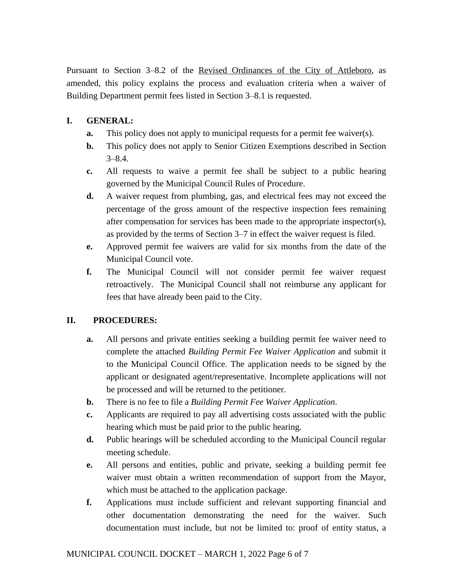Pursuant to Section 3–8.2 of the Revised Ordinances of the City of Attleboro, as amended, this policy explains the process and evaluation criteria when a waiver of Building Department permit fees listed in Section 3–8.1 is requested.

# **I. GENERAL:**

- **a.** This policy does not apply to municipal requests for a permit fee waiver(s).
- **b.** This policy does not apply to Senior Citizen Exemptions described in Section  $3 - 8.4.$
- **c.** All requests to waive a permit fee shall be subject to a public hearing governed by the Municipal Council Rules of Procedure.
- **d.** A waiver request from plumbing, gas, and electrical fees may not exceed the percentage of the gross amount of the respective inspection fees remaining after compensation for services has been made to the appropriate inspector(s), as provided by the terms of Section 3–7 in effect the waiver request is filed.
- **e.** Approved permit fee waivers are valid for six months from the date of the Municipal Council vote.
- **f.** The Municipal Council will not consider permit fee waiver request retroactively. The Municipal Council shall not reimburse any applicant for fees that have already been paid to the City.

# **II. PROCEDURES:**

- **a.** All persons and private entities seeking a building permit fee waiver need to complete the attached *Building Permit Fee Waiver Application* and submit it to the Municipal Council Office. The application needs to be signed by the applicant or designated agent/representative. Incomplete applications will not be processed and will be returned to the petitioner.
- **b.** There is no fee to file a *Building Permit Fee Waiver Application*.
- **c.** Applicants are required to pay all advertising costs associated with the public hearing which must be paid prior to the public hearing.
- **d.** Public hearings will be scheduled according to the Municipal Council regular meeting schedule.
- **e.** All persons and entities, public and private, seeking a building permit fee waiver must obtain a written recommendation of support from the Mayor, which must be attached to the application package.
- **f.** Applications must include sufficient and relevant supporting financial and other documentation demonstrating the need for the waiver. Such documentation must include, but not be limited to: proof of entity status, a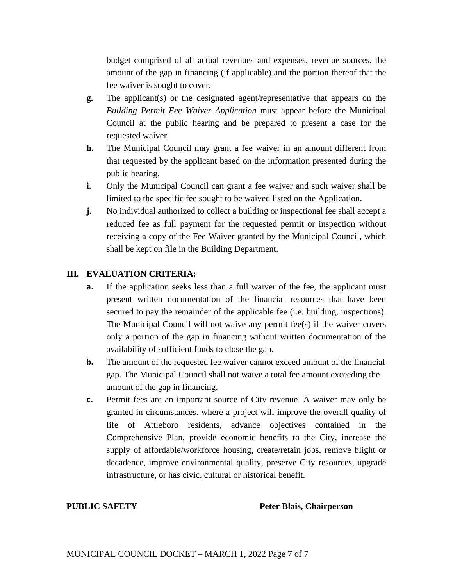budget comprised of all actual revenues and expenses, revenue sources, the amount of the gap in financing (if applicable) and the portion thereof that the fee waiver is sought to cover.

- **g.** The applicant(s) or the designated agent/representative that appears on the *Building Permit Fee Waiver Application* must appear before the Municipal Council at the public hearing and be prepared to present a case for the requested waiver.
- **h.** The Municipal Council may grant a fee waiver in an amount different from that requested by the applicant based on the information presented during the public hearing.
- **i.** Only the Municipal Council can grant a fee waiver and such waiver shall be limited to the specific fee sought to be waived listed on the Application.
- **j.** No individual authorized to collect a building or inspectional fee shall accept a reduced fee as full payment for the requested permit or inspection without receiving a copy of the Fee Waiver granted by the Municipal Council, which shall be kept on file in the Building Department.

## **III. EVALUATION CRITERIA:**

- **a.** If the application seeks less than a full waiver of the fee, the applicant must present written documentation of the financial resources that have been secured to pay the remainder of the applicable fee (i.e. building, inspections). The Municipal Council will not waive any permit fee(s) if the waiver covers only a portion of the gap in financing without written documentation of the availability of sufficient funds to close the gap.
- **b.** The amount of the requested fee waiver cannot exceed amount of the financial gap. The Municipal Council shall not waive a total fee amount exceeding the amount of the gap in financing.
- **c.** Permit fees are an important source of City revenue. A waiver may only be granted in circumstances. where a project will improve the overall quality of life of Attleboro residents, advance objectives contained in the Comprehensive Plan, provide economic benefits to the City, increase the supply of affordable/workforce housing, create/retain jobs, remove blight or decadence, improve environmental quality, preserve City resources, upgrade infrastructure, or has civic, cultural or historical benefit.

#### **PUBLIC SAFETY** Peter Blais, Chairperson